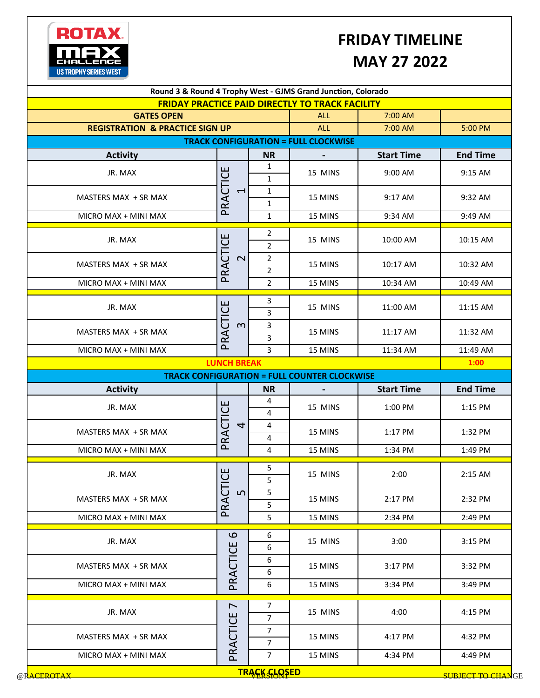## ROTAX. MAX О **US TROPHY SERIES WEST**

## **FRIDAY TIMELINE MAY 27 2022**

|                                             |                                                                      |                                  | Round 3 & Round 4 Trophy West - GJMS Grand Junction, Colorado |                   |                 |  |  |  |  |
|---------------------------------------------|----------------------------------------------------------------------|----------------------------------|---------------------------------------------------------------|-------------------|-----------------|--|--|--|--|
| <b>GATES OPEN</b>                           | <b>FRIDAY PRACTICE PAID DIRECTLY TO TRACK FACILITY</b><br><b>ALL</b> | 7:00 AM                          |                                                               |                   |                 |  |  |  |  |
| <b>REGISTRATION &amp; PRACTICE SIGN UP</b>  | <b>ALL</b>                                                           | 7:00 AM                          | 5:00 PM                                                       |                   |                 |  |  |  |  |
| <b>TRACK CONFIGURATION = FULL CLOCKWISE</b> |                                                                      |                                  |                                                               |                   |                 |  |  |  |  |
| <b>Activity</b>                             |                                                                      | <b>NR</b>                        |                                                               | <b>Start Time</b> | <b>End Time</b> |  |  |  |  |
| JR. MAX                                     |                                                                      | $\mathbf{1}$<br>$\mathbf{1}$     | 15 MINS                                                       | 9:00 AM           | 9:15 AM         |  |  |  |  |
| MASTERS MAX + SR MAX                        | PRACTICE<br>$\overline{\phantom{0}}$                                 | $\mathbf{1}$<br>$\mathbf{1}$     | 15 MINS                                                       | 9:17 AM           | 9:32 AM         |  |  |  |  |
| MICRO MAX + MINI MAX                        |                                                                      | $\mathbf{1}$                     | 15 MINS                                                       | 9:34 AM           | 9:49 AM         |  |  |  |  |
| JR. MAX                                     |                                                                      | $\overline{2}$<br>$\overline{2}$ | 15 MINS                                                       | 10:00 AM          | 10:15 AM        |  |  |  |  |
| MASTERS MAX + SR MAX                        | PRACTICE<br>$\overline{\mathsf{C}}$                                  | $\overline{2}$<br>$\overline{2}$ | 15 MINS                                                       | 10:17 AM          | 10:32 AM        |  |  |  |  |
| MICRO MAX + MINI MAX                        |                                                                      | $\overline{2}$                   | 15 MINS                                                       | 10:34 AM          | 10:49 AM        |  |  |  |  |
| JR. MAX                                     |                                                                      | 3<br>3                           | 15 MINS                                                       | 11:00 AM          | 11:15 AM        |  |  |  |  |
| MASTERS MAX + SR MAX                        | PRACTICE<br>$\infty$                                                 | 3<br>3                           | 15 MINS                                                       | 11:17 AM          | 11:32 AM        |  |  |  |  |
| MICRO MAX + MINI MAX                        |                                                                      | 3                                | 15 MINS                                                       | 11:34 AM          | 11:49 AM        |  |  |  |  |
|                                             | <b>LUNCH BREAK</b>                                                   |                                  |                                                               |                   | 1:00            |  |  |  |  |
|                                             |                                                                      |                                  | <b>TRACK CONFIGURATION = FULL COUNTER CLOCKWISE</b>           |                   |                 |  |  |  |  |
| <b>Activity</b>                             |                                                                      | <b>NR</b>                        |                                                               | <b>Start Time</b> | <b>End Time</b> |  |  |  |  |
| JR. MAX                                     |                                                                      | 4<br>4                           | 15 MINS                                                       | 1:00 PM           | 1:15 PM         |  |  |  |  |
| MASTERS MAX + SR MAX                        | PRACTICE<br>4                                                        | 4<br>4                           | 15 MINS                                                       | 1:17 PM           | 1:32 PM         |  |  |  |  |
| MICRO MAX + MINI MAX                        |                                                                      | 4                                | 15 MINS                                                       | 1:34 PM           | 1:49 PM         |  |  |  |  |
| JR. MAX                                     |                                                                      | 5<br>5                           | 15 MINS                                                       | 2:00              | 2:15 AM         |  |  |  |  |
| MASTERS MAX + SR MAX                        | PRACTICE<br>$\mathsf{L}\Omega$                                       | 5<br>5                           | 15 MINS                                                       | 2:17 PM           | 2:32 PM         |  |  |  |  |
| MICRO MAX + MINI MAX                        |                                                                      | 5                                | 15 MINS                                                       | 2:34 PM           | 2:49 PM         |  |  |  |  |
|                                             | $\mathbf{\Omega}$                                                    | 6                                |                                                               |                   | 3:15 PM         |  |  |  |  |
| JR. MAX                                     |                                                                      | 6                                | 15 MINS                                                       | 3:00              |                 |  |  |  |  |
| MASTERS MAX + SR MAX                        |                                                                      | 6<br>$\boldsymbol{6}$            | 15 MINS                                                       | 3:17 PM           | 3:32 PM         |  |  |  |  |
| MICRO MAX + MINI MAX                        | PRACTICE                                                             | 6                                | 15 MINS                                                       | 3:34 PM           | 3:49 PM         |  |  |  |  |
| JR. MAX                                     | $\overline{ }$                                                       | 7<br>$\overline{7}$              | 15 MINS                                                       | 4:00              | 4:15 PM         |  |  |  |  |
| MASTERS MAX + SR MAX                        | PRACTICE                                                             | $\overline{7}$<br>$\overline{7}$ | 15 MINS                                                       | 4:17 PM           | 4:32 PM         |  |  |  |  |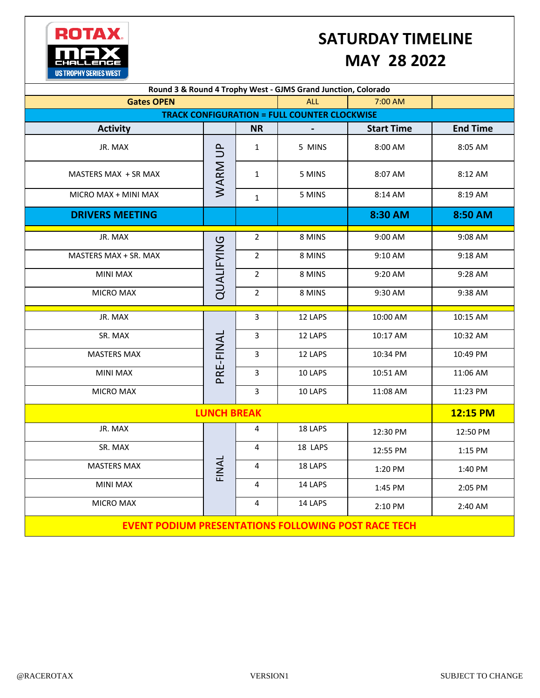

## **SATURDAY TIMELINE MAY 28 2022**

| Round 3 & Round 4 Trophy West - GJMS Grand Junction, Colorado |            |                |         |                   |                 |  |  |  |  |
|---------------------------------------------------------------|------------|----------------|---------|-------------------|-----------------|--|--|--|--|
| <b>Gates OPEN</b>                                             |            | <b>ALL</b>     | 7:00 AM |                   |                 |  |  |  |  |
| <b>TRACK CONFIGURATION = FULL COUNTER CLOCKWISE</b>           |            |                |         |                   |                 |  |  |  |  |
| <b>Activity</b>                                               |            | <b>NR</b>      |         | <b>Start Time</b> | <b>End Time</b> |  |  |  |  |
| JR. MAX                                                       | WARM UP    | $\mathbf{1}$   | 5 MINS  | 8:00 AM           | 8:05 AM         |  |  |  |  |
| MASTERS MAX + SR MAX                                          |            | $\mathbf{1}$   | 5 MINS  | 8:07 AM           | 8:12 AM         |  |  |  |  |
| MICRO MAX + MINI MAX                                          |            | $\mathbf{1}$   | 5 MINS  | 8:14 AM           | 8:19 AM         |  |  |  |  |
| <b>DRIVERS MEETING</b>                                        |            |                |         | 8:30 AM           | 8:50 AM         |  |  |  |  |
| JR. MAX                                                       | QUALIFYING | $\overline{2}$ | 8 MINS  | 9:00 AM           | 9:08 AM         |  |  |  |  |
| MASTERS MAX + SR. MAX                                         |            | $\overline{2}$ | 8 MINS  | 9:10 AM           | 9:18 AM         |  |  |  |  |
| <b>MINI MAX</b>                                               |            | $\overline{2}$ | 8 MINS  | 9:20 AM           | 9:28 AM         |  |  |  |  |
| <b>MICRO MAX</b>                                              |            | $\overline{2}$ | 8 MINS  | 9:30 AM           | 9:38 AM         |  |  |  |  |
| JR. MAX                                                       |            | 3              | 12 LAPS | 10:00 AM          | 10:15 AM        |  |  |  |  |
| SR. MAX                                                       | PRE-FINAL  | $\overline{3}$ | 12 LAPS | 10:17 AM          | 10:32 AM        |  |  |  |  |
| <b>MASTERS MAX</b>                                            |            | 3              | 12 LAPS | 10:34 PM          | 10:49 PM        |  |  |  |  |
| <b>MINI MAX</b>                                               |            | 3              | 10 LAPS | 10:51 AM          | 11:06 AM        |  |  |  |  |
| <b>MICRO MAX</b>                                              |            | $\overline{3}$ | 10 LAPS | 11:08 AM          | 11:23 PM        |  |  |  |  |
| <b>LUNCH BREAK</b>                                            | 12:15 PM   |                |         |                   |                 |  |  |  |  |
| JR. MAX                                                       | FINAL      | 4              | 18 LAPS | 12:30 PM          | 12:50 PM        |  |  |  |  |
| SR. MAX                                                       |            | 4              | 18 LAPS | 12:55 PM          | 1:15 PM         |  |  |  |  |
| <b>MASTERS MAX</b>                                            |            | 4              | 18 LAPS | 1:20 PM           | 1:40 PM         |  |  |  |  |
| <b>MINI MAX</b>                                               |            | 4              | 14 LAPS | 1:45 PM           | 2:05 PM         |  |  |  |  |
| MICRO MAX                                                     |            | 4              | 14 LAPS | 2:10 PM           | 2:40 AM         |  |  |  |  |
| <b>EVENT PODIUM PRESENTATIONS FOLLOWING POST RACE TECH</b>    |            |                |         |                   |                 |  |  |  |  |